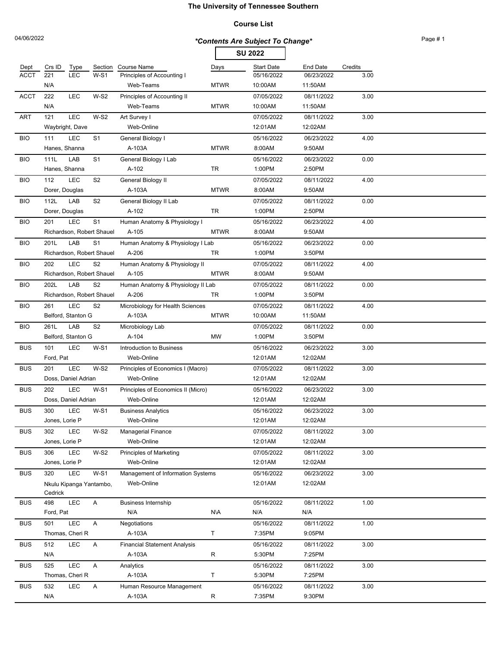### **Course List**

|             |                |                     |                           |                                     |             | <b>SU 2022</b>    |                 |         |  |
|-------------|----------------|---------------------|---------------------------|-------------------------------------|-------------|-------------------|-----------------|---------|--|
| Dept        | Crs ID         | Type                | Section                   | Course Name                         | Days        | <b>Start Date</b> | <b>End Date</b> | Credits |  |
| <b>ACCT</b> | 221            | <b>LEC</b>          | $W-S1$                    | Principles of Accounting I          |             | 05/16/2022        | 06/23/2022      | 3.00    |  |
|             | N/A            |                     |                           | Web-Teams                           | <b>MTWR</b> | 10:00AM           | 11:50AM         |         |  |
| <b>ACCT</b> | 222            | <b>LEC</b>          | $W-S2$                    | Principles of Accounting II         |             | 07/05/2022        | 08/11/2022      | 3.00    |  |
|             | N/A            |                     |                           | Web-Teams                           | <b>MTWR</b> | 10:00AM           | 11:50AM         |         |  |
| ART         | 121            | <b>LEC</b>          | $W-S2$                    | Art Survey I                        |             | 07/05/2022        | 08/11/2022      | 3.00    |  |
|             |                | Waybright, Dave     |                           | Web-Online                          |             | 12:01AM           | 12:02AM         |         |  |
| <b>BIO</b>  | 111            | <b>LEC</b>          | S <sub>1</sub>            | General Biology I                   |             | 05/16/2022        | 06/23/2022      | 4.00    |  |
|             | Hanes, Shanna  |                     |                           | A-103A                              | <b>MTWR</b> | 8:00AM            | 9:50AM          |         |  |
| <b>BIO</b>  | 111L           | LAB                 | S <sub>1</sub>            | General Biology I Lab               |             | 05/16/2022        | 06/23/2022      | 0.00    |  |
|             | Hanes, Shanna  |                     |                           | A-102                               | TR          | 1:00PM            | 2:50PM          |         |  |
| <b>BIO</b>  | 112            | <b>LEC</b>          | S <sub>2</sub>            | General Biology II                  |             | 07/05/2022        | 08/11/2022      | 4.00    |  |
|             | Dorer, Douglas |                     |                           | A-103A                              | <b>MTWR</b> | 8:00AM            | 9:50AM          |         |  |
| <b>BIO</b>  | 112L           | LAB                 | S <sub>2</sub>            | General Biology II Lab              |             | 07/05/2022        | 08/11/2022      | 0.00    |  |
|             | Dorer, Douglas |                     |                           | A-102                               | TR          | 1:00PM            | 2:50PM          |         |  |
| <b>BIO</b>  | 201            | <b>LEC</b>          | S <sub>1</sub>            | Human Anatomy & Physiology I        |             | 05/16/2022        | 06/23/2022      | 4.00    |  |
|             |                |                     | Richardson, Robert Shauel | A-105                               | <b>MTWR</b> | 8:00AM            | 9:50AM          |         |  |
| <b>BIO</b>  | 201L           | LAB                 | S <sub>1</sub>            | Human Anatomy & Physiology I Lab    |             | 05/16/2022        | 06/23/2022      | 0.00    |  |
|             |                |                     | Richardson, Robert Shauel | A-206                               | TR          | 1:00PM            | 3:50PM          |         |  |
| <b>BIO</b>  | 202            | <b>LEC</b>          | S <sub>2</sub>            | Human Anatomy & Physiology II       |             | 07/05/2022        | 08/11/2022      | 4.00    |  |
|             |                |                     | Richardson, Robert Shauel | A-105                               | <b>MTWR</b> | 8:00AM            | 9:50AM          |         |  |
| <b>BIO</b>  | 202L           | LAB                 | S <sub>2</sub>            | Human Anatomy & Physiology II Lab   |             | 07/05/2022        | 08/11/2022      | 0.00    |  |
|             |                |                     | Richardson, Robert Shauel | A-206                               | <b>TR</b>   | 1:00PM            | 3:50PM          |         |  |
| <b>BIO</b>  | 261            | LEC                 | S <sub>2</sub>            | Microbiology for Health Sciences    |             | 07/05/2022        | 08/11/2022      | 4.00    |  |
|             |                | Belford, Stanton G  |                           | A-103A                              | <b>MTWR</b> | 10:00AM           | 11:50AM         |         |  |
| <b>BIO</b>  | 261L           | LAB                 | S <sub>2</sub>            | Microbiology Lab                    |             | 07/05/2022        | 08/11/2022      | 0.00    |  |
|             |                | Belford, Stanton G  |                           | A-104                               | <b>MW</b>   | 1:00PM            | 3:50PM          |         |  |
| <b>BUS</b>  | 101            | <b>LEC</b>          | $W-S1$                    | Introduction to Business            |             | 05/16/2022        | 06/23/2022      | 3.00    |  |
|             | Ford, Pat      |                     |                           | Web-Online                          |             | 12:01AM           | 12:02AM         |         |  |
| <b>BUS</b>  | 201            | LEC                 | $W-S2$                    | Principles of Economics I (Macro)   |             | 07/05/2022        | 08/11/2022      | 3.00    |  |
|             |                | Doss, Daniel Adrian |                           | Web-Online                          |             | 12:01AM           | 12:02AM         |         |  |
| <b>BUS</b>  | 202            | LEC                 | $W-S1$                    | Principles of Economics II (Micro)  |             | 05/16/2022        | 06/23/2022      | 3.00    |  |
|             |                | Doss, Daniel Adrian |                           | Web-Online                          |             | 12:01AM           | 12:02AM         |         |  |
| <b>BUS</b>  | 300            | LEC                 | <b>W-S1</b>               | <b>Business Analytics</b>           |             | 05/16/2022        | 06/23/2022      | 3.00    |  |
|             | Jones, Lorie P |                     |                           | Web-Online                          |             | 12:01AM           | 12:02AM         |         |  |
| <b>BUS</b>  | 302            | LEC                 | $W-S2$                    | <b>Managerial Finance</b>           |             | 07/05/2022        | 08/11/2022      | 3.00    |  |
|             | Jones, Lorie P |                     |                           | Web-Online                          |             | 12:01AM           | 12:02AM         |         |  |
| <b>BUS</b>  | 306            | <b>LEC</b>          | $W-S2$                    | <b>Principles of Marketing</b>      |             | 07/05/2022        | 08/11/2022      | 3.00    |  |
|             | Jones, Lorie P |                     |                           | Web-Online                          |             | 12:01AM           | 12:02AM         |         |  |
| <b>BUS</b>  | 320            | LEC                 | $W-S1$                    | Management of Information Systems   |             | 05/16/2022        | 06/23/2022      | 3.00    |  |
|             |                |                     | Nkulu Kipanga Yantambo,   | Web-Online                          |             | 12:01AM           | 12:02AM         |         |  |
|             | Cedrick        |                     |                           |                                     |             |                   |                 |         |  |
| <b>BUS</b>  | 498            | LEC                 | Α                         | <b>Business Internship</b>          |             | 05/16/2022        | 08/11/2022      | 1.00    |  |
|             | Ford, Pat      |                     |                           | N/A                                 | N\A         | N/A               | N/A             |         |  |
| <b>BUS</b>  | 501            | LEC                 | A                         | Negotiations                        |             | 05/16/2022        | 08/11/2022      | 1.00    |  |
|             |                | Thomas, Cheri R     |                           | A-103A                              | T           | 7:35PM            | 9:05PM          |         |  |
| <b>BUS</b>  | 512            | LEC                 | A                         | <b>Financial Statement Analysis</b> |             | 05/16/2022        | 08/11/2022      | 3.00    |  |
|             | N/A            |                     |                           | A-103A                              | R           | 5:30PM            | 7:25PM          |         |  |
| <b>BUS</b>  | 525            | LEC                 | A                         | Analytics                           |             | 05/16/2022        | 08/11/2022      | 3.00    |  |

Thomas, Cheri R A-103A T 5:30PM 7:25PM

BUS 532 LEC A Human Resource Management 05/16/2022 08/11/2022 3.00 N/A A-103A R 7:35PM 9:30PM

 $# 1$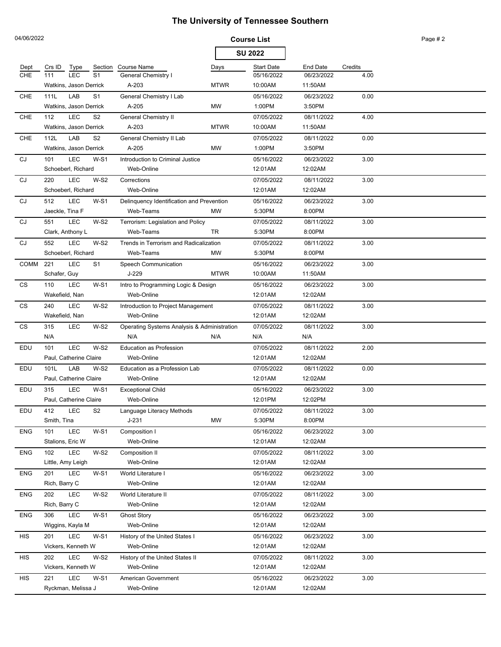| 04/06/2022  |                        |                |                                             | <b>Course List</b> |                   |            |         | Page #2 |
|-------------|------------------------|----------------|---------------------------------------------|--------------------|-------------------|------------|---------|---------|
|             |                        |                |                                             |                    | <b>SU 2022</b>    |            |         |         |
| Dept        | Crs ID<br>Type         | Section        | <b>Course Name</b>                          | Days               | <b>Start Date</b> | End Date   | Credits |         |
| <b>CHE</b>  | <b>LEC</b><br>111      | S <sub>1</sub> | <b>General Chemistry I</b>                  |                    | 05/16/2022        | 06/23/2022 | 4.00    |         |
|             | Watkins, Jason Derrick |                | A-203                                       | <b>MTWR</b>        | 10:00AM           | 11:50AM    |         |         |
| <b>CHE</b>  | LAB<br>111L            | S <sub>1</sub> | General Chemistry I Lab                     |                    | 05/16/2022        | 06/23/2022 | 0.00    |         |
|             | Watkins, Jason Derrick |                | A-205                                       | MW                 | 1:00PM            | 3:50PM     |         |         |
| <b>CHE</b>  | LEC<br>112             | S <sub>2</sub> | General Chemistry II                        |                    | 07/05/2022        | 08/11/2022 | 4.00    |         |
|             | Watkins, Jason Derrick |                | A-203                                       | <b>MTWR</b>        | 10:00AM           | 11:50AM    |         |         |
| <b>CHE</b>  | LAB<br>112L            | S <sub>2</sub> | General Chemistry II Lab                    |                    | 07/05/2022        | 08/11/2022 | 0.00    |         |
|             | Watkins, Jason Derrick |                | A-205                                       | MW                 | 1:00PM            | 3:50PM     |         |         |
| CJ          | LEC<br>101             | $W-S1$         | Introduction to Criminal Justice            |                    | 05/16/2022        | 06/23/2022 | 3.00    |         |
|             | Schoeberl, Richard     |                | Web-Online                                  |                    | 12:01AM           | 12:02AM    |         |         |
| CJ          | LEC<br>220             | $W-S2$         | Corrections                                 |                    | 07/05/2022        | 08/11/2022 | 3.00    |         |
|             | Schoeberl, Richard     |                | Web-Online                                  |                    | 12:01AM           | 12:02AM    |         |         |
| CJ          | LEC<br>512             | $W-S1$         | Delinquency Identification and Prevention   |                    | 05/16/2022        | 06/23/2022 | 3.00    |         |
|             | Jaeckle, Tina F        |                | Web-Teams                                   | <b>MW</b>          | 5:30PM            | 8:00PM     |         |         |
| CJ          | LEC<br>551             | $W-S2$         | Terrorism: Legislation and Policy           |                    | 07/05/2022        | 08/11/2022 | 3.00    |         |
|             | Clark, Anthony L       |                | Web-Teams                                   | <b>TR</b>          | 5:30PM            | 8:00PM     |         |         |
| CJ          | LEC<br>552             | $W-S2$         | Trends in Terrorism and Radicalization      |                    | 07/05/2022        | 08/11/2022 | 3.00    |         |
|             | Schoeberl, Richard     |                | Web-Teams                                   | <b>MW</b>          | 5:30PM            | 8:00PM     |         |         |
| <b>COMM</b> | LEC<br>221             | S <sub>1</sub> | Speech Communication                        |                    | 05/16/2022        | 06/23/2022 | 3.00    |         |
|             | Schafer, Guy           |                | J-229                                       | <b>MTWR</b>        | 10:00AM           | 11:50AM    |         |         |
| CS          | LEC<br>110             | $W-S1$         | Intro to Programming Logic & Design         |                    | 05/16/2022        | 06/23/2022 | 3.00    |         |
|             | Wakefield, Nan         |                | Web-Online                                  |                    | 12:01AM           | 12:02AM    |         |         |
| CS          | LEC<br>240             | $W-S2$         | Introduction to Project Management          |                    | 07/05/2022        | 08/11/2022 | 3.00    |         |
|             | Wakefield, Nan         |                | Web-Online                                  |                    | 12:01AM           | 12:02AM    |         |         |
| СS          | 315<br>LEC             | W-S2           | Operating Systems Analysis & Administration |                    | 07/05/2022        | 08/11/2022 | 3.00    |         |
|             | N/A                    |                | N/A                                         | N/A                | N/A               | N/A        |         |         |
| EDU         | <b>LEC</b><br>101      | $W-S2$         | <b>Education as Profession</b>              |                    | 07/05/2022        | 08/11/2022 | 2.00    |         |
|             | Paul, Catherine Claire |                | Web-Online                                  |                    | 12:01AM           | 12:02AM    |         |         |
| EDU         | LAB<br>101L            | $W-S2$         | Education as a Profession Lab               |                    | 07/05/2022        | 08/11/2022 | 0.00    |         |
|             | Paul, Catherine Claire |                | Web-Online                                  |                    | 12:01AM           | 12:02AM    |         |         |
| EDU         | <b>LEC</b><br>315      | <b>W-S1</b>    | <b>Exceptional Child</b>                    |                    | 05/16/2022        | 06/23/2022 | 3.00    |         |
|             | Paul, Catherine Claire |                | Web-Online                                  |                    | 12:01PM           | 12:02PM    |         |         |
| EDU         | LEC<br>412             | S <sub>2</sub> | Language Literacy Methods                   |                    | 07/05/2022        | 08/11/2022 | 3.00    |         |
|             | Smith, Tina            |                | $J-231$                                     | <b>MW</b>          | 5:30PM            | 8:00PM     |         |         |
| <b>ENG</b>  | LEC<br>101             | $W-S1$         | Composition I                               |                    | 05/16/2022        | 06/23/2022 | 3.00    |         |
|             | Stalions, Eric W       |                | Web-Online                                  |                    | 12:01AM           | 12:02AM    |         |         |
| <b>ENG</b>  | LEC<br>102             | $W-S2$         | Composition II                              |                    | 07/05/2022        | 08/11/2022 | 3.00    |         |
|             | Little, Amy Leigh      |                | Web-Online                                  |                    | 12:01AM           | 12:02AM    |         |         |
| <b>ENG</b>  | <b>LEC</b><br>201      | $W-S1$         | World Literature I                          |                    | 05/16/2022        | 06/23/2022 | 3.00    |         |
|             | Rich, Barry C          |                | Web-Online                                  |                    | 12:01AM           | 12:02AM    |         |         |
| <b>ENG</b>  | 202<br>LEC             | $W-S2$         | World Literature II                         |                    | 07/05/2022        | 08/11/2022 | 3.00    |         |
|             | Rich, Barry C          |                | Web-Online                                  |                    | 12:01AM           | 12:02AM    |         |         |
| <b>ENG</b>  | <b>LEC</b><br>306      | $W-S1$         | <b>Ghost Story</b>                          |                    | 05/16/2022        | 06/23/2022 | 3.00    |         |
|             | Wiggins, Kayla M       |                | Web-Online                                  |                    | 12:01AM           | 12:02AM    |         |         |
| HIS         | LEC<br>201             | $W-S1$         | History of the United States I              |                    | 05/16/2022        | 06/23/2022 | 3.00    |         |
|             | Vickers, Kenneth W     |                | Web-Online                                  |                    | 12:01AM           | 12:02AM    |         |         |
| <b>HIS</b>  | LEC<br>202             | $W-S2$         | History of the United States II             |                    | 07/05/2022        | 08/11/2022 | 3.00    |         |
|             | Vickers, Kenneth W     |                | Web-Online                                  |                    | 12:01AM           | 12:02AM    |         |         |
| <b>HIS</b>  | LEC<br>221             | $W-S1$         | American Government                         |                    | 05/16/2022        | 06/23/2022 | 3.00    |         |
|             | Ryckman, Melissa J     |                | Web-Online                                  |                    | 12:01AM           | 12:02AM    |         |         |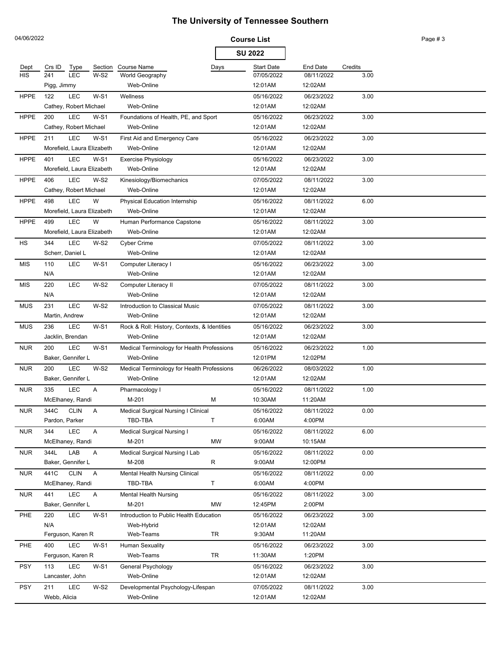| 04/06/2022  |                            |              |                                              |      | <b>Course List</b> |                 |         | Page #3 |
|-------------|----------------------------|--------------|----------------------------------------------|------|--------------------|-----------------|---------|---------|
|             |                            |              |                                              |      | <b>SU 2022</b>     |                 |         |         |
| Dept        | Crs ID<br>Type             | Section      | Course Name                                  | Days | <b>Start Date</b>  | <b>End Date</b> | Credits |         |
| <b>HIS</b>  | LEC<br>241                 | $W-S2$       | World Geography                              |      | 07/05/2022         | 08/11/2022      | 3.00    |         |
|             | Pigg, Jimmy                |              | Web-Online                                   |      | 12:01AM            | 12:02AM         |         |         |
| <b>HPPE</b> | 122<br><b>LEC</b>          | $W-S1$       | Wellness                                     |      | 05/16/2022         | 06/23/2022      | 3.00    |         |
|             | Cathey, Robert Michael     |              | Web-Online                                   |      | 12:01AM            | 12:02AM         |         |         |
| <b>HPPE</b> | <b>LEC</b><br>200          | $W-S1$       | Foundations of Health, PE, and Sport         |      | 05/16/2022         | 06/23/2022      | 3.00    |         |
|             | Cathey, Robert Michael     |              | Web-Online                                   |      | 12:01AM            | 12:02AM         |         |         |
| <b>HPPE</b> | <b>LEC</b><br>211          | $W-S1$       | First Aid and Emergency Care                 |      | 05/16/2022         | 06/23/2022      | 3.00    |         |
|             | Morefield, Laura Elizabeth |              | Web-Online                                   |      | 12:01AM            | 12:02AM         |         |         |
| <b>HPPE</b> | <b>LEC</b><br>401          | $W-S1$       | Exercise Physiology                          |      | 05/16/2022         | 06/23/2022      | 3.00    |         |
|             | Morefield, Laura Elizabeth |              | Web-Online                                   |      | 12:01AM            | 12:02AM         |         |         |
| <b>HPPE</b> | LEC<br>406                 | $W-S2$       | Kinesiology/Biomechanics                     |      | 07/05/2022         | 08/11/2022      | 3.00    |         |
|             | Cathey, Robert Michael     |              | Web-Online                                   |      | 12:01AM            | 12:02AM         |         |         |
| <b>HPPE</b> | LEC<br>498                 | W            | Physical Education Internship                |      | 05/16/2022         | 08/11/2022      | 6.00    |         |
|             | Morefield, Laura Elizabeth |              | Web-Online                                   |      | 12:01AM            | 12:02AM         |         |         |
| <b>HPPE</b> | <b>LEC</b><br>499          | W            | Human Performance Capstone                   |      | 05/16/2022         | 08/11/2022      | 3.00    |         |
|             | Morefield, Laura Elizabeth |              | Web-Online                                   |      | 12:01AM            | 12:02AM         |         |         |
| HS          | 344<br>LEC                 | $W-S2$       | Cyber Crime                                  |      | 07/05/2022         | 08/11/2022      | 3.00    |         |
|             | Scherr, Daniel L           |              | Web-Online                                   |      | 12:01AM            | 12:02AM         |         |         |
| MIS         | <b>LEC</b><br>110          | $W-S1$       | Computer Literacy I                          |      | 05/16/2022         | 06/23/2022      | 3.00    |         |
|             | N/A                        |              | Web-Online                                   |      | 12:01AM            | 12:02AM         |         |         |
| MIS         | <b>LEC</b><br>220          | $W-S2$       | Computer Literacy II                         |      | 07/05/2022         | 08/11/2022      | 3.00    |         |
|             | N/A                        |              | Web-Online                                   |      | 12:01AM            | 12:02AM         |         |         |
| <b>MUS</b>  | <b>LEC</b><br>231          | $W-S2$       | Introduction to Classical Music              |      | 07/05/2022         | 08/11/2022      | 3.00    |         |
|             | Martin, Andrew             |              | Web-Online                                   |      | 12:01AM            | 12:02AM         |         |         |
| <b>MUS</b>  | LEC<br>236                 | $W-S1$       | Rock & Roll: History, Contexts, & Identities |      | 05/16/2022         | 06/23/2022      | 3.00    |         |
|             | Jacklin, Brendan           |              | Web-Online                                   |      | 12:01AM            | 12:02AM         |         |         |
| <b>NUR</b>  | LEC<br>200                 | $W-S1$       | Medical Terminology for Health Professions   |      | 05/16/2022         | 06/23/2022      | 1.00    |         |
|             | Baker, Gennifer L          |              | Web-Online                                   |      | 12:01PM            | 12:02PM         |         |         |
| <b>NUR</b>  | LEC<br>200                 | $W-S2$       | Medical Terminology for Health Professions   |      | 06/26/2022         | 08/03/2022      | 1.00    |         |
|             | Baker, Gennifer L          |              | Web-Online                                   |      | 12:01AM            | 12:02AM         |         |         |
| <b>NUR</b>  | LEC<br>335                 | A            | Pharmacology I                               |      | 05/16/2022         | 08/11/2022      | 1.00    |         |
|             | McElhaney, Randi           |              | M-201                                        |      | 10:30AM            | 11:20AM         |         |         |
| <b>NUR</b>  | 344C<br><b>CLIN</b>        | A            | Medical Surgical Nursing I Clinical          |      | 05/16/2022         | 08/11/2022      | 0.00    |         |
|             | Pardon, Parker             |              | TBD-TBA                                      | T.   | 6:00AM             | 4:00PM          |         |         |
| <b>NUR</b>  | LEC<br>344                 | A            | Medical Surgical Nursing I                   |      | 05/16/2022         | 08/11/2022      | 6.00    |         |
|             | McElhaney, Randi           |              | M-201                                        | MW   | 9:00AM             | 10:15AM         |         |         |
| <b>NUR</b>  | 344L<br>LAB                | A            | Medical Surgical Nursing I Lab               |      | 05/16/2022         | 08/11/2022      | 0.00    |         |
|             | Baker, Gennifer L          |              | M-208                                        | R    | 9:00AM             | 12:00PM         |         |         |
| <b>NUR</b>  | 441C<br><b>CLIN</b>        | $\mathsf{A}$ | Mental Health Nursing Clinical               |      | 05/16/2022         | 08/11/2022      | 0.00    |         |
|             | McElhaney, Randi           |              | TBD-TBA                                      | T    | 6:00AM             | 4:00PM          |         |         |
| <b>NUR</b>  | <b>LEC</b><br>441          | A            | <b>Mental Health Nursing</b>                 |      | 05/16/2022         | 08/11/2022      | 3.00    |         |
|             | Baker, Gennifer L          |              | M-201                                        | MW   | 12:45PM            | 2:00PM          |         |         |
| PHE         | <b>LEC</b><br>220          | $W-S1$       | Introduction to Public Health Education      |      | 05/16/2022         | 06/23/2022      | 3.00    |         |
|             | N/A                        |              | Web-Hybrid                                   |      | 12:01AM            | 12:02AM         |         |         |
|             | Ferguson, Karen R          |              | Web-Teams                                    | TR   | 9:30AM             | 11:20AM         |         |         |
| PHE         | <b>LEC</b><br>400          | $W-S1$       | <b>Human Sexuality</b>                       |      | 05/16/2022         | 06/23/2022      | 3.00    |         |
|             | Ferguson, Karen R          |              | Web-Teams                                    | TR   | 11:30AM            | 1:20PM          |         |         |
| <b>PSY</b>  | LEC<br>113                 | $W-S1$       | General Psychology                           |      | 05/16/2022         | 06/23/2022      | 3.00    |         |
|             | Lancaster, John            |              | Web-Online                                   |      | 12:01AM            | 12:02AM         |         |         |
| <b>PSY</b>  | LEC<br>211                 | $W-S2$       | Developmental Psychology-Lifespan            |      | 07/05/2022         | 08/11/2022      | 3.00    |         |
|             | Webb, Alicia               |              | Web-Online                                   |      | 12:01AM            | 12:02AM         |         |         |